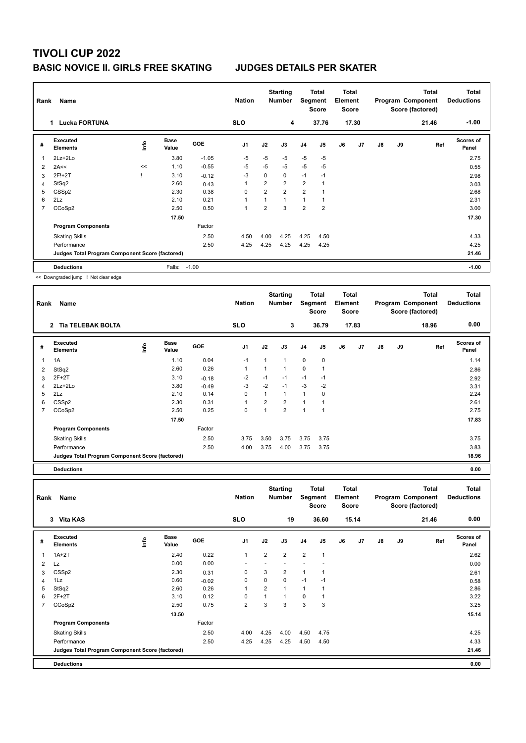### **TIVOLI CUP 2022 BASIC NOVICE II. GIRLS FREE SKATING JUDGES DETAILS PER SKATER**

| Rank | Name<br><b>Lucka FORTUNA</b><br>1               |      |                      |            |                |                | <b>Starting</b><br><b>Number</b> |                | Total<br>Segment<br><b>Score</b> | <b>Total</b><br>Element<br><b>Score</b> |       |               |    | <b>Total</b><br>Program Component<br>Score (factored) | <b>Total</b><br><b>Deductions</b> |
|------|-------------------------------------------------|------|----------------------|------------|----------------|----------------|----------------------------------|----------------|----------------------------------|-----------------------------------------|-------|---------------|----|-------------------------------------------------------|-----------------------------------|
|      |                                                 |      |                      |            | <b>SLO</b>     |                | 4                                |                | 37.76                            |                                         | 17.30 |               |    | 21.46                                                 | $-1.00$                           |
| #    | Executed<br><b>Elements</b>                     | ۱nfo | <b>Base</b><br>Value | <b>GOE</b> | J <sub>1</sub> | J2             | J3                               | J <sub>4</sub> | J5                               | J6                                      | J7    | $\mathsf{J}8$ | J9 | Ref                                                   | Scores of<br>Panel                |
| 1    | 2Lz+2Lo                                         |      | 3.80                 | $-1.05$    | $-5$           | $-5$           | $-5$                             | $-5$           | $-5$                             |                                         |       |               |    |                                                       | 2.75                              |
| 2    | 2A<<                                            | <<   | 1.10                 | $-0.55$    | $-5$           | $-5$           | $-5$                             | $-5$           | $-5$                             |                                         |       |               |    |                                                       | 0.55                              |
| 3    | 2F!+2T                                          |      | 3.10                 | $-0.12$    | $-3$           | 0              | $\mathbf 0$                      | $-1$           | $-1$                             |                                         |       |               |    |                                                       | 2.98                              |
| 4    | StSq2                                           |      | 2.60                 | 0.43       | 1              | $\overline{2}$ | $\overline{2}$                   | 2              | $\overline{1}$                   |                                         |       |               |    |                                                       | 3.03                              |
| 5    | CSS <sub>p2</sub>                               |      | 2.30                 | 0.38       | 0              | $\overline{2}$ | $\overline{2}$                   | $\overline{2}$ |                                  |                                         |       |               |    |                                                       | 2.68                              |
| 6    | 2Lz                                             |      | 2.10                 | 0.21       | 1              | 1              | $\overline{1}$                   | 1              |                                  |                                         |       |               |    |                                                       | 2.31                              |
| 7    | CCoSp2                                          |      | 2.50                 | 0.50       | 1              | $\overline{2}$ | 3                                | $\overline{2}$ | $\overline{2}$                   |                                         |       |               |    |                                                       | 3.00                              |
|      |                                                 |      | 17.50                |            |                |                |                                  |                |                                  |                                         |       |               |    |                                                       | 17.30                             |
|      | <b>Program Components</b>                       |      |                      | Factor     |                |                |                                  |                |                                  |                                         |       |               |    |                                                       |                                   |
|      | <b>Skating Skills</b>                           |      |                      | 2.50       | 4.50           | 4.00           | 4.25                             | 4.25           | 4.50                             |                                         |       |               |    |                                                       | 4.33                              |
|      | Performance                                     |      |                      | 2.50       | 4.25           | 4.25           | 4.25                             | 4.25           | 4.25                             |                                         |       |               |    |                                                       | 4.25                              |
|      | Judges Total Program Component Score (factored) |      |                      |            |                |                |                                  |                |                                  |                                         |       |               |    |                                                       | 21.46                             |
|      | <b>Deductions</b>                               |      | Falls:               | $-1.00$    |                |                |                                  |                |                                  |                                         |       |               |    |                                                       | $-1.00$                           |

<< Downgraded jump ! Not clear edge

| Rank | Name                                            |      | <b>Nation</b>        |            | <b>Starting</b><br><b>Number</b> |                | <b>Total</b><br>Segment<br><b>Score</b> | Total<br>Element<br><b>Score</b> |             |    |                | <b>Total</b><br>Program Component<br>Score (factored) | <b>Total</b><br><b>Deductions</b> |       |                    |
|------|-------------------------------------------------|------|----------------------|------------|----------------------------------|----------------|-----------------------------------------|----------------------------------|-------------|----|----------------|-------------------------------------------------------|-----------------------------------|-------|--------------------|
|      | 2 Tia TELEBAK BOLTA                             |      |                      |            | <b>SLO</b>                       |                | 3                                       |                                  | 36.79       |    | 17.83          |                                                       |                                   | 18.96 | 0.00               |
| #    | Executed<br><b>Elements</b>                     | ١mfo | <b>Base</b><br>Value | <b>GOE</b> | J <sub>1</sub>                   | J2             | J3                                      | J <sub>4</sub>                   | J5          | J6 | J <sub>7</sub> | J8                                                    | J9                                | Ref   | Scores of<br>Panel |
|      | 1A                                              |      | 1.10                 | 0.04       | $-1$                             | 1              | 1                                       | $\mathbf 0$                      | $\mathbf 0$ |    |                |                                                       |                                   |       | 1.14               |
| 2    | StSq2                                           |      | 2.60                 | 0.26       | 1                                | 1              | $\overline{1}$                          | $\pmb{0}$                        | 1           |    |                |                                                       |                                   |       | 2.86               |
| 3    | $2F+2T$                                         |      | 3.10                 | $-0.18$    | $-2$                             | $-1$           | $-1$                                    | $-1$                             | $-1$        |    |                |                                                       |                                   |       | 2.92               |
| 4    | 2Lz+2Lo                                         |      | 3.80                 | $-0.49$    | $-3$                             | $-2$           | $-1$                                    | $-3$                             | $-2$        |    |                |                                                       |                                   |       | 3.31               |
| 5    | 2Lz                                             |      | 2.10                 | 0.14       | 0                                | 1              | 1                                       |                                  | 0           |    |                |                                                       |                                   |       | 2.24               |
| 6    | CSS <sub>p2</sub>                               |      | 2.30                 | 0.31       | $\mathbf{1}$                     | $\overline{2}$ | $\overline{2}$                          | $\overline{1}$                   |             |    |                |                                                       |                                   |       | 2.61               |
|      | CCoSp2                                          |      | 2.50                 | 0.25       | 0                                | 1              | $\overline{2}$                          | $\overline{1}$                   |             |    |                |                                                       |                                   |       | 2.75               |
|      |                                                 |      | 17.50                |            |                                  |                |                                         |                                  |             |    |                |                                                       |                                   |       | 17.83              |
|      | <b>Program Components</b>                       |      |                      | Factor     |                                  |                |                                         |                                  |             |    |                |                                                       |                                   |       |                    |
|      | <b>Skating Skills</b>                           |      |                      | 2.50       | 3.75                             | 3.50           | 3.75                                    | 3.75                             | 3.75        |    |                |                                                       |                                   |       | 3.75               |
|      | Performance                                     |      |                      | 2.50       | 4.00                             | 3.75           | 4.00                                    | 3.75                             | 3.75        |    |                |                                                       |                                   |       | 3.83               |
|      | Judges Total Program Component Score (factored) |      |                      |            |                                  |                |                                         |                                  |             |    |                |                                                       |                                   |       | 18.96              |
|      | <b>Deductions</b>                               |      |                      |            |                                  |                |                                         |                                  |             |    |                |                                                       |                                   |       | 0.00               |

**Total Deductions Total Program Component Score (factored) Total Element Segment Score Total Score Starting Rank Name Nation Number # Executed Elements Base Value GOE J1 J2 J3 J4 J5 J6 J7 J8 J9 Scores of Panel** 1 2.40 0.22 1 2 2 2 1 **Ref**  سمان بن المسابق السمانية المسابق المسابق المسابق المسابق المسابق المسابق المسابق المسابق المسابق المسابق المساب<br>1A+2T 1 2.40 0.22 1 2 2 1 2.62  **3 Vita KAS SLO 19 36.60 15.14 21.46 0.00** 2 Lz 0.00 0.00 - - - - - 0.00  $3 \text{ CSB2}$  2.30 0.31 0 3 2 1 1 2.61 2.61 4 1Lz 0.60 -0.02 0 0 0 -1 -1 0.58 5 StSq2 2.60 0.26 1 2 1 1 1 2.86 6 2F+2T 3.10 0.12 0 1 1 0 1 3.22 7 CCoSp2 2.50 0.75 2 3 3 3 3 3.25  **13.50** 15.14 **Program Components**  Skating Skills **4.00 4.25 4.00 4.25 4.00 4.75** Associated AT 2.50 4.00 4.25 4.00 4.75 Factor 4.25 4.00 4.50 4.75 4.25 Performance 2.50 4.25 4.25 4.25 4.50 4.50 4.33 **Deductions 0.00 Judges Total Program Component Score (factored) 21.46**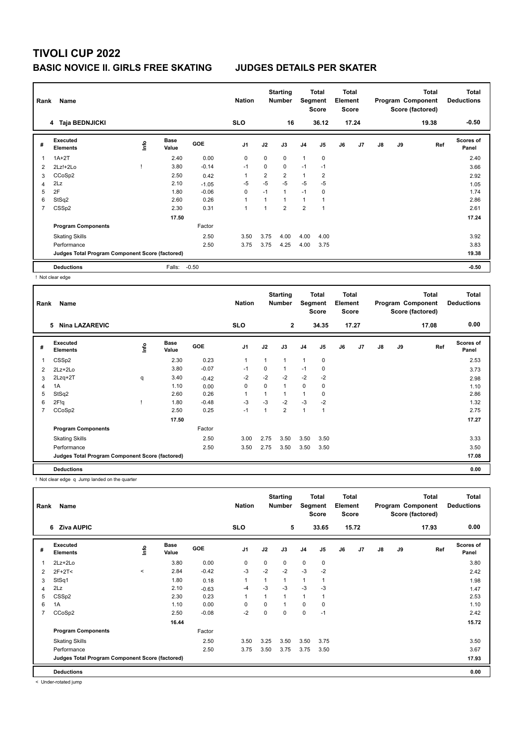## **BASIC NOVICE II. GIRLS FREE SKATING JUDGES DETAILS PER SKATER**

| Rank           | Name<br>4 Taja BEDNJICKI<br>Executed<br><b>Base</b> |      |        |            |                |                | <b>Starting</b><br><b>Number</b><br>16 | Segment        | Total<br><b>Score</b><br>36.12 | <b>Total</b><br>Element<br><b>Score</b> | 17.24 |               |    | <b>Total</b><br>Program Component<br>Score (factored)<br>19.38 | <b>Total</b><br><b>Deductions</b><br>$-0.50$ |
|----------------|-----------------------------------------------------|------|--------|------------|----------------|----------------|----------------------------------------|----------------|--------------------------------|-----------------------------------------|-------|---------------|----|----------------------------------------------------------------|----------------------------------------------|
| #              | <b>Elements</b>                                     | ۱nfo | Value  | <b>GOE</b> | J <sub>1</sub> | J2             | J3                                     | J <sub>4</sub> | J5                             | J6                                      | J7    | $\mathsf{J}8$ | J9 | Ref                                                            | <b>Scores of</b><br>Panel                    |
| 1              | $1A+2T$                                             |      | 2.40   | 0.00       | 0              | $\mathbf 0$    | $\mathbf 0$                            | $\mathbf{1}$   | $\mathbf 0$                    |                                         |       |               |    |                                                                | 2.40                                         |
| 2              | $2Lz!+2Lo$                                          |      | 3.80   | $-0.14$    | $-1$           | 0              | 0                                      | $-1$           | $-1$                           |                                         |       |               |    |                                                                | 3.66                                         |
| 3              | CCoSp2                                              |      | 2.50   | 0.42       | -1             | $\overline{2}$ | $\overline{2}$                         | $\mathbf{1}$   | 2                              |                                         |       |               |    |                                                                | 2.92                                         |
| 4              | 2Lz                                                 |      | 2.10   | $-1.05$    | -5             | $-5$           | $-5$                                   | $-5$           | $-5$                           |                                         |       |               |    |                                                                | 1.05                                         |
| 5              | 2F                                                  |      | 1.80   | $-0.06$    | $\mathbf 0$    | $-1$           | $\mathbf{1}$                           | $-1$           | $\mathbf 0$                    |                                         |       |               |    |                                                                | 1.74                                         |
| 6              | StSq2                                               |      | 2.60   | 0.26       | $\overline{1}$ |                | 1                                      | $\mathbf{1}$   |                                |                                         |       |               |    |                                                                | 2.86                                         |
| $\overline{7}$ | CSS <sub>p2</sub>                                   |      | 2.30   | 0.31       | $\overline{1}$ |                | $\overline{2}$                         | $\overline{2}$ | $\overline{1}$                 |                                         |       |               |    |                                                                | 2.61                                         |
|                |                                                     |      | 17.50  |            |                |                |                                        |                |                                |                                         |       |               |    |                                                                | 17.24                                        |
|                | <b>Program Components</b>                           |      |        | Factor     |                |                |                                        |                |                                |                                         |       |               |    |                                                                |                                              |
|                | <b>Skating Skills</b>                               |      |        | 2.50       | 3.50           | 3.75           | 4.00                                   | 4.00           | 4.00                           |                                         |       |               |    |                                                                | 3.92                                         |
|                | Performance                                         |      |        | 2.50       | 3.75           | 3.75           | 4.25                                   | 4.00           | 3.75                           |                                         |       |               |    |                                                                | 3.83                                         |
|                | Judges Total Program Component Score (factored)     |      |        |            |                |                |                                        |                |                                |                                         |       |               |    |                                                                | 19.38                                        |
|                | <b>Deductions</b>                                   |      | Falls: | $-0.50$    |                |                |                                        |                |                                |                                         |       |               |    |                                                                | $-0.50$                                      |

! Not clear edge

| Rank | Name<br>5<br><b>Nina LAZAREVIC</b>              |    |                      |         | <b>Nation</b>  |          | <b>Starting</b><br><b>Number</b> | Segment        | Total<br><b>Score</b> | <b>Total</b><br>Element<br><b>Score</b> |                |               |    | <b>Total</b><br>Program Component<br>Score (factored) | <b>Total</b><br><b>Deductions</b> |
|------|-------------------------------------------------|----|----------------------|---------|----------------|----------|----------------------------------|----------------|-----------------------|-----------------------------------------|----------------|---------------|----|-------------------------------------------------------|-----------------------------------|
|      |                                                 |    |                      |         | <b>SLO</b>     |          | $\mathbf{2}$                     |                | 34.35                 |                                         | 17.27          |               |    | 17.08                                                 | 0.00                              |
| #    | Executed<br><b>Elements</b>                     | ١m | <b>Base</b><br>Value | GOE     | J <sub>1</sub> | J2       | J3                               | J <sub>4</sub> | J <sub>5</sub>        | J6                                      | J <sub>7</sub> | $\mathsf{J}8$ | J9 | Ref                                                   | Scores of<br>Panel                |
| 1    | CSS <sub>p2</sub>                               |    | 2.30                 | 0.23    | $\mathbf{1}$   |          | 1                                | $\mathbf{1}$   | $\mathbf 0$           |                                         |                |               |    |                                                       | 2.53                              |
| 2    | $2Lz+2Lo$                                       |    | 3.80                 | $-0.07$ | $-1$           | $\Omega$ | 1                                | $-1$           | 0                     |                                         |                |               |    |                                                       | 3.73                              |
| 3    | $2Lzq+2T$                                       | q  | 3.40                 | $-0.42$ | -2             | $-2$     | $-2$                             | $-2$           | $-2$                  |                                         |                |               |    |                                                       | 2.98                              |
| 4    | 1A                                              |    | 1.10                 | 0.00    | 0              | 0        | 1                                | 0              | 0                     |                                         |                |               |    |                                                       | 1.10                              |
| 5    | StSq2                                           |    | 2.60                 | 0.26    | $\mathbf{1}$   |          |                                  | $\mathbf{1}$   | 0                     |                                         |                |               |    |                                                       | 2.86                              |
| 6    | 2F!q                                            |    | 1.80                 | $-0.48$ | -3             | $-3$     | $-2$                             | $-3$           | $-2$                  |                                         |                |               |    |                                                       | 1.32                              |
| 7    | CCoSp2                                          |    | 2.50                 | 0.25    | $-1$           |          | $\overline{2}$                   | $\mathbf{1}$   |                       |                                         |                |               |    |                                                       | 2.75                              |
|      |                                                 |    | 17.50                |         |                |          |                                  |                |                       |                                         |                |               |    |                                                       | 17.27                             |
|      | <b>Program Components</b>                       |    |                      | Factor  |                |          |                                  |                |                       |                                         |                |               |    |                                                       |                                   |
|      | <b>Skating Skills</b>                           |    |                      | 2.50    | 3.00           | 2.75     | 3.50                             | 3.50           | 3.50                  |                                         |                |               |    |                                                       | 3.33                              |
|      | Performance                                     |    |                      | 2.50    | 3.50           | 2.75     | 3.50                             | 3.50           | 3.50                  |                                         |                |               |    |                                                       | 3.50                              |
|      | Judges Total Program Component Score (factored) |    |                      |         |                |          |                                  |                |                       |                                         |                |               |    |                                                       | 17.08                             |
|      | <b>Deductions</b>                               |    |                      |         |                |          |                                  |                |                       |                                         |                |               |    |                                                       | 0.00                              |

! Not clear edge q Jump landed on the quarter

| Rank           | Name                                            | <b>Nation</b> |                      | <b>Starting</b><br><b>Number</b> | Segment        | Total<br><b>Score</b> | <b>Total</b><br>Element<br><b>Score</b> |                |             |    | <b>Total</b><br>Program Component<br>Score (factored) | <b>Total</b><br><b>Deductions</b> |    |       |                           |
|----------------|-------------------------------------------------|---------------|----------------------|----------------------------------|----------------|-----------------------|-----------------------------------------|----------------|-------------|----|-------------------------------------------------------|-----------------------------------|----|-------|---------------------------|
|                | 6 Ziva AUPIC                                    |               |                      |                                  | <b>SLO</b>     |                       | 5                                       |                | 33.65       |    | 15.72                                                 |                                   |    | 17.93 | 0.00                      |
| #              | Executed<br><b>Elements</b>                     | ۴             | <b>Base</b><br>Value | GOE                              | J <sub>1</sub> | J2                    | J3                                      | J <sub>4</sub> | J5          | J6 | J7                                                    | $\mathsf{J}8$                     | J9 | Ref   | <b>Scores of</b><br>Panel |
|                | $2Lz + 2Lo$                                     |               | 3.80                 | 0.00                             | $\mathbf 0$    | $\Omega$              | 0                                       | $\mathbf 0$    | $\mathbf 0$ |    |                                                       |                                   |    |       | 3.80                      |
| 2              | $2F+2T2$                                        | $\,<\,$       | 2.84                 | $-0.42$                          | -3             | $-2$                  | $-2$                                    | $-3$           | $-2$        |    |                                                       |                                   |    |       | 2.42                      |
| 3              | StSq1                                           |               | 1.80                 | 0.18                             | $\mathbf{1}$   |                       | 1                                       | $\overline{1}$ |             |    |                                                       |                                   |    |       | 1.98                      |
| $\overline{4}$ | 2Lz                                             |               | 2.10                 | $-0.63$                          | $-4$           | $-3$                  | $-3$                                    | $-3$           | $-3$        |    |                                                       |                                   |    |       | 1.47                      |
| 5              | CSS <sub>p2</sub>                               |               | 2.30                 | 0.23                             | $\mathbf{1}$   |                       | 1                                       | $\mathbf{1}$   |             |    |                                                       |                                   |    |       | 2.53                      |
| 6              | 1A                                              |               | 1.10                 | 0.00                             | 0              | $\Omega$              | 1                                       | $\mathbf 0$    | $\mathbf 0$ |    |                                                       |                                   |    |       | 1.10                      |
| 7              | CCoSp2                                          |               | 2.50                 | $-0.08$                          | $-2$           | $\Omega$              | 0                                       | $\mathbf 0$    | $-1$        |    |                                                       |                                   |    |       | 2.42                      |
|                |                                                 |               | 16.44                |                                  |                |                       |                                         |                |             |    |                                                       |                                   |    |       | 15.72                     |
|                | <b>Program Components</b>                       |               |                      | Factor                           |                |                       |                                         |                |             |    |                                                       |                                   |    |       |                           |
|                | <b>Skating Skills</b>                           |               |                      | 2.50                             | 3.50           | 3.25                  | 3.50                                    | 3.50           | 3.75        |    |                                                       |                                   |    |       | 3.50                      |
|                | Performance                                     |               |                      | 2.50                             | 3.75           | 3.50                  | 3.75                                    | 3.75           | 3.50        |    |                                                       |                                   |    |       | 3.67                      |
|                | Judges Total Program Component Score (factored) |               |                      |                                  |                |                       |                                         |                |             |    |                                                       |                                   |    |       | 17.93                     |
|                | <b>Deductions</b>                               |               |                      |                                  |                |                       |                                         |                |             |    |                                                       |                                   |    |       | 0.00                      |

< Under-rotated jump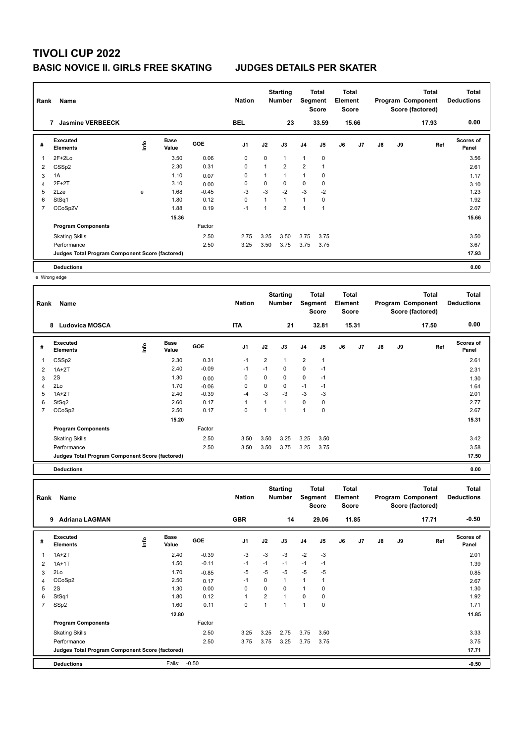### **BASIC NOVICE II. GIRLS FREE SKATING JUDGES DETAILS PER SKATER**

| Rank | Name                                            | <b>Nation</b> |                      | <b>Starting</b><br><b>Number</b> | Segment        | Total<br><b>Score</b> | <b>Total</b><br>Element<br><b>Score</b> |                |                |    | <b>Total</b><br>Program Component<br>Score (factored) | Total<br><b>Deductions</b> |    |       |                           |
|------|-------------------------------------------------|---------------|----------------------|----------------------------------|----------------|-----------------------|-----------------------------------------|----------------|----------------|----|-------------------------------------------------------|----------------------------|----|-------|---------------------------|
|      | <b>Jasmine VERBEECK</b><br>7                    |               |                      |                                  | <b>BEL</b>     |                       | 23                                      |                | 33.59          |    | 15.66                                                 |                            |    | 17.93 | 0.00                      |
| #    | Executed<br><b>Elements</b>                     | <u>info</u>   | <b>Base</b><br>Value | <b>GOE</b>                       | J <sub>1</sub> | J2                    | J3                                      | J <sub>4</sub> | J5             | J6 | J7                                                    | $\mathsf{J}8$              | J9 | Ref   | <b>Scores of</b><br>Panel |
| 1    | $2F+2Lo$                                        |               | 3.50                 | 0.06                             | 0              | 0                     | $\mathbf{1}$                            | $\mathbf{1}$   | $\pmb{0}$      |    |                                                       |                            |    |       | 3.56                      |
| 2    | CSS <sub>p2</sub>                               |               | 2.30                 | 0.31                             | 0              | 1                     | $\overline{2}$                          | 2              | $\overline{1}$ |    |                                                       |                            |    |       | 2.61                      |
| 3    | 1A                                              |               | 1.10                 | 0.07                             | 0              | 1                     | $\mathbf{1}$                            | 1              | 0              |    |                                                       |                            |    |       | 1.17                      |
| 4    | 2F+2T                                           |               | 3.10                 | 0.00                             | 0              | 0                     | $\mathbf 0$                             | $\mathbf 0$    | 0              |    |                                                       |                            |    |       | 3.10                      |
| 5    | 2Lze                                            | e             | 1.68                 | $-0.45$                          | $-3$           | $-3$                  | $-2$                                    | $-3$           | $-2$           |    |                                                       |                            |    |       | 1.23                      |
| 6    | StSq1                                           |               | 1.80                 | 0.12                             | 0              | 1                     | $\mathbf{1}$                            | $\mathbf{1}$   | 0              |    |                                                       |                            |    |       | 1.92                      |
| 7    | CCoSp2V                                         |               | 1.88                 | 0.19                             | $-1$           |                       | $\overline{2}$                          | 1              | 1              |    |                                                       |                            |    |       | 2.07                      |
|      |                                                 |               | 15.36                |                                  |                |                       |                                         |                |                |    |                                                       |                            |    |       | 15.66                     |
|      | <b>Program Components</b>                       |               |                      | Factor                           |                |                       |                                         |                |                |    |                                                       |                            |    |       |                           |
|      | <b>Skating Skills</b>                           |               |                      | 2.50                             | 2.75           | 3.25                  | 3.50                                    | 3.75           | 3.75           |    |                                                       |                            |    |       | 3.50                      |
|      | Performance                                     |               |                      | 2.50                             | 3.25           | 3.50                  | 3.75                                    | 3.75           | 3.75           |    |                                                       |                            |    |       | 3.67                      |
|      | Judges Total Program Component Score (factored) |               |                      |                                  |                |                       |                                         |                |                |    |                                                       |                            |    |       | 17.93                     |
|      | <b>Deductions</b>                               |               |                      |                                  |                |                       |                                         |                |                |    |                                                       |                            |    |       | 0.00                      |

e Wrong edge

| Rank | Name<br>8<br><b>Ludovica MOSCA</b>              |     |                      |            | <b>Nation</b>  |                | <b>Starting</b><br><b>Number</b> | Segment        | Total<br><b>Score</b> | <b>Total</b><br>Element<br><b>Score</b> |       |    |    | <b>Total</b><br>Program Component<br>Score (factored) | <b>Total</b><br><b>Deductions</b> |
|------|-------------------------------------------------|-----|----------------------|------------|----------------|----------------|----------------------------------|----------------|-----------------------|-----------------------------------------|-------|----|----|-------------------------------------------------------|-----------------------------------|
|      |                                                 |     |                      |            | <b>ITA</b>     |                | 21                               |                | 32.81                 |                                         | 15.31 |    |    | 17.50                                                 | 0.00                              |
| #    | <b>Executed</b><br><b>Elements</b>              | ١m٥ | <b>Base</b><br>Value | <b>GOE</b> | J <sub>1</sub> | J2             | J3                               | J <sub>4</sub> | J <sub>5</sub>        | J6                                      | J7    | J8 | J9 | Ref                                                   | <b>Scores of</b><br>Panel         |
| 1    | CSS <sub>p2</sub>                               |     | 2.30                 | 0.31       | $-1$           | $\overline{2}$ | $\mathbf{1}$                     | $\overline{2}$ | $\mathbf{1}$          |                                         |       |    |    |                                                       | 2.61                              |
| 2    | $1A+2T$                                         |     | 2.40                 | $-0.09$    | $-1$           | $-1$           | 0                                | $\mathbf 0$    | $-1$                  |                                         |       |    |    |                                                       | 2.31                              |
| 3    | 2S                                              |     | 1.30                 | 0.00       | 0              | 0              | 0                                | $\mathbf 0$    | $-1$                  |                                         |       |    |    |                                                       | 1.30                              |
| 4    | 2Lo                                             |     | 1.70                 | $-0.06$    | 0              | 0              | 0                                | $-1$           | $-1$                  |                                         |       |    |    |                                                       | 1.64                              |
| 5    | $1A+2T$                                         |     | 2.40                 | $-0.39$    | $-4$           | $-3$           | $-3$                             | $-3$           | -3                    |                                         |       |    |    |                                                       | 2.01                              |
| 6    | StSq2                                           |     | 2.60                 | 0.17       | $\mathbf{1}$   | 1              | 1                                | $\mathbf 0$    | 0                     |                                         |       |    |    |                                                       | 2.77                              |
| 7    | CCoSp2                                          |     | 2.50                 | 0.17       | $\mathbf 0$    | 1              | $\mathbf{1}$                     | $\overline{1}$ | $\mathbf 0$           |                                         |       |    |    |                                                       | 2.67                              |
|      |                                                 |     | 15.20                |            |                |                |                                  |                |                       |                                         |       |    |    |                                                       | 15.31                             |
|      | <b>Program Components</b>                       |     |                      | Factor     |                |                |                                  |                |                       |                                         |       |    |    |                                                       |                                   |
|      | <b>Skating Skills</b>                           |     |                      | 2.50       | 3.50           | 3.50           | 3.25                             | 3.25           | 3.50                  |                                         |       |    |    |                                                       | 3.42                              |
|      | Performance                                     |     |                      | 2.50       | 3.50           | 3.50           | 3.75                             | 3.25           | 3.75                  |                                         |       |    |    |                                                       | 3.58                              |
|      | Judges Total Program Component Score (factored) |     |                      |            |                |                |                                  |                |                       |                                         |       |    |    |                                                       | 17.50                             |
|      | <b>Deductions</b>                               |     |                      |            |                |                |                                  |                |                       |                                         |       |    |    |                                                       | 0.00                              |

**Total Deductions Total Program Component Score (factored) Total Element Score Total Segment Score Starting Rank Name Nation Number # Executed Elements Base Value GOE J1 J2 J3 J4 J5 J6 J7 J8 J9 Scores of Panel** 1 2.40 -0.39 -3 -3 -3 -2 -3 **Ref**  1A+2T 2.01 **Info 9 Adriana LAGMAN GBR 14 29.06 11.85 17.71 -0.50** 2 1A+1T 1.50 -0.11 -1 -1 -1 -1 -1 1.39 3 2Lo 1.70 -0.85 -5 -5 -5 -5 -5 0.85 4 CCoSp2 2.50 0.17 -1 0 1 1 1 2.67 5 2S 1.30 0.00 0 0 0 1 0 1.30 6 StSq1 1.80 0.12 1 2 1 0 0 1.92 7 SSp2 1.60 0.11 0 1 1 1 0 1.71  **12.80 11.85 Program Components**  Skating Skills 3.25 3.25 2.75 3.75 3.50 2.50 3.33 Factor Performance 2.50 3.75 3.75 3.25 3.75 3.75 3.75 **Deductions** Falls: -0.50 **-0.50 Judges Total Program Component Score (factored) 17.71**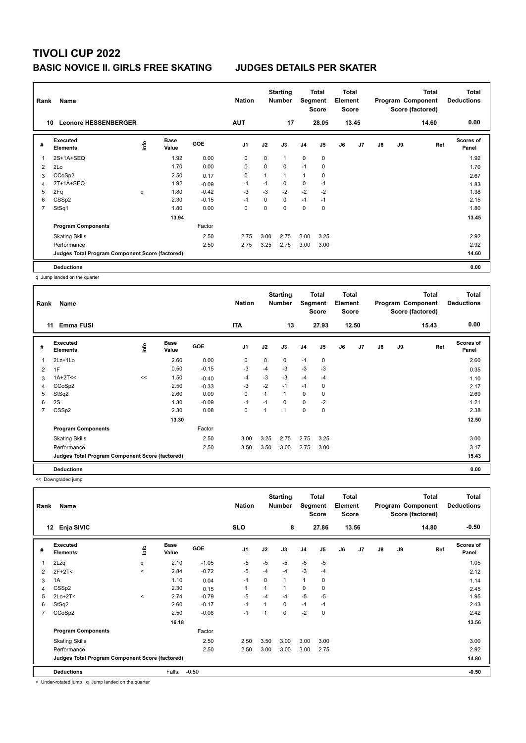## **TIVOLI CUP 2022 BASIC NOVICE II. GIRLS FREE SKATING JUDGES DETAILS PER SKATER**

| Rank           | Name                                            |      |                      |            | <b>Nation</b>  |             | <b>Starting</b><br><b>Number</b> | Segment        | Total<br><b>Score</b> | <b>Total</b><br>Element<br><b>Score</b> |       |    |    | <b>Total</b><br>Program Component<br>Score (factored) | Total<br><b>Deductions</b> |
|----------------|-------------------------------------------------|------|----------------------|------------|----------------|-------------|----------------------------------|----------------|-----------------------|-----------------------------------------|-------|----|----|-------------------------------------------------------|----------------------------|
| 10             | <b>Leonore HESSENBERGER</b>                     |      |                      |            | <b>AUT</b>     |             | 17                               |                | 28.05                 |                                         | 13.45 |    |    | 14.60                                                 | 0.00                       |
| #              | <b>Executed</b><br><b>Elements</b>              | Info | <b>Base</b><br>Value | <b>GOE</b> | J <sub>1</sub> | J2          | J3                               | J <sub>4</sub> | J <sub>5</sub>        | J6                                      | J7    | J8 | J9 | Ref                                                   | <b>Scores of</b><br>Panel  |
|                | 2S+1A+SEQ                                       |      | 1.92                 | 0.00       | 0              | $\mathbf 0$ | 1                                | $\mathbf 0$    | $\mathbf 0$           |                                         |       |    |    |                                                       | 1.92                       |
| 2              | 2Lo                                             |      | 1.70                 | 0.00       | 0              | 0           | 0                                | $-1$           | 0                     |                                         |       |    |    |                                                       | 1.70                       |
| 3              | CCoSp2                                          |      | 2.50                 | 0.17       | $\mathbf 0$    | 1           | 1                                | $\mathbf{1}$   | 0                     |                                         |       |    |    |                                                       | 2.67                       |
| 4              | 2T+1A+SEQ                                       |      | 1.92                 | $-0.09$    | $-1$           | $-1$        | 0                                | 0              | $-1$                  |                                         |       |    |    |                                                       | 1.83                       |
| 5              | 2Fq                                             | q    | 1.80                 | $-0.42$    | $-3$           | $-3$        | $-2$                             | $-2$           | $-2$                  |                                         |       |    |    |                                                       | 1.38                       |
| 6              | CSS <sub>p2</sub>                               |      | 2.30                 | $-0.15$    | $-1$           | 0           | 0                                | $-1$           | $-1$                  |                                         |       |    |    |                                                       | 2.15                       |
| $\overline{7}$ | StSq1                                           |      | 1.80                 | 0.00       | 0              | $\Omega$    | $\Omega$                         | $\mathbf 0$    | 0                     |                                         |       |    |    |                                                       | 1.80                       |
|                |                                                 |      | 13.94                |            |                |             |                                  |                |                       |                                         |       |    |    |                                                       | 13.45                      |
|                | <b>Program Components</b>                       |      |                      | Factor     |                |             |                                  |                |                       |                                         |       |    |    |                                                       |                            |
|                | <b>Skating Skills</b>                           |      |                      | 2.50       | 2.75           | 3.00        | 2.75                             | 3.00           | 3.25                  |                                         |       |    |    |                                                       | 2.92                       |
|                | Performance                                     |      |                      | 2.50       | 2.75           | 3.25        | 2.75                             | 3.00           | 3.00                  |                                         |       |    |    |                                                       | 2.92                       |
|                | Judges Total Program Component Score (factored) |      |                      |            |                |             |                                  |                |                       |                                         |       |    |    |                                                       | 14.60                      |
|                | <b>Deductions</b>                               |      |                      |            |                |             |                                  |                |                       |                                         |       |    |    |                                                       | 0.00                       |

q Jump landed on the quarter

| Rank | Name                                            |      |                      |         | <b>Nation</b>  |                          | <b>Starting</b><br><b>Number</b> | <b>Segment</b> | <b>Total</b><br><b>Score</b> | <b>Total</b><br>Element<br><b>Score</b> |       |               |    | <b>Total</b><br>Program Component<br>Score (factored) | <b>Total</b><br><b>Deductions</b> |
|------|-------------------------------------------------|------|----------------------|---------|----------------|--------------------------|----------------------------------|----------------|------------------------------|-----------------------------------------|-------|---------------|----|-------------------------------------------------------|-----------------------------------|
|      | <b>Emma FUSI</b><br>11                          |      |                      |         | <b>ITA</b>     |                          | 13                               |                | 27.93                        |                                         | 12.50 |               |    | 15.43                                                 | 0.00                              |
| #    | Executed<br><b>Elements</b>                     | ١mfo | <b>Base</b><br>Value | GOE     | J <sub>1</sub> | J2                       | J3                               | J <sub>4</sub> | J5                           | J6                                      | J7    | $\mathsf{J}8$ | J9 | Ref                                                   | Scores of<br>Panel                |
| 1    | 2Lz+1Lo                                         |      | 2.60                 | 0.00    | 0              | 0                        | 0                                | $-1$           | $\mathbf 0$                  |                                         |       |               |    |                                                       | 2.60                              |
| 2    | 1F                                              |      | 0.50                 | $-0.15$ | $-3$           | $-4$                     | $-3$                             | $-3$           | -3                           |                                         |       |               |    |                                                       | 0.35                              |
| 3    | $1A+2T<<$                                       | <<   | 1.50                 | $-0.40$ | $-4$           | $-3$                     | $-3$                             | $-4$           | $-4$                         |                                         |       |               |    |                                                       | 1.10                              |
| 4    | CCoSp2                                          |      | 2.50                 | $-0.33$ | $-3$           | $-2$                     | $-1$                             | $-1$           | 0                            |                                         |       |               |    |                                                       | 2.17                              |
| 5    | StSq2                                           |      | 2.60                 | 0.09    | 0              | $\mathbf{1}$             | 1                                | 0              | 0                            |                                         |       |               |    |                                                       | 2.69                              |
| 6    | 2S                                              |      | 1.30                 | $-0.09$ | $-1$           | $-1$                     | 0                                | $\mathbf 0$    | $-2$                         |                                         |       |               |    |                                                       | 1.21                              |
| 7    | CSS <sub>p2</sub>                               |      | 2.30                 | 0.08    | 0              | $\overline{\phantom{a}}$ | 1                                | $\mathbf 0$    | $\mathbf 0$                  |                                         |       |               |    |                                                       | 2.38                              |
|      |                                                 |      | 13.30                |         |                |                          |                                  |                |                              |                                         |       |               |    |                                                       | 12.50                             |
|      | <b>Program Components</b>                       |      |                      | Factor  |                |                          |                                  |                |                              |                                         |       |               |    |                                                       |                                   |
|      | <b>Skating Skills</b>                           |      |                      | 2.50    | 3.00           | 3.25                     | 2.75                             | 2.75           | 3.25                         |                                         |       |               |    |                                                       | 3.00                              |
|      | Performance                                     |      |                      | 2.50    | 3.50           | 3.50                     | 3.00                             | 2.75           | 3.00                         |                                         |       |               |    |                                                       | 3.17                              |
|      | Judges Total Program Component Score (factored) |      |                      |         |                |                          |                                  |                |                              |                                         |       |               |    |                                                       | 15.43                             |
|      | <b>Deductions</b>                               |      |                      |         |                |                          |                                  |                |                              |                                         |       |               |    |                                                       | 0.00                              |

<< Downgraded jump

| Rank           | Name                                            |         |                      |         | <b>Nation</b>  |                | <b>Starting</b><br><b>Number</b> |                | Total<br>Segment<br><b>Score</b> | <b>Total</b><br>Element<br><b>Score</b> |       |               |    | <b>Total</b><br>Program Component<br>Score (factored) | <b>Total</b><br><b>Deductions</b> |
|----------------|-------------------------------------------------|---------|----------------------|---------|----------------|----------------|----------------------------------|----------------|----------------------------------|-----------------------------------------|-------|---------------|----|-------------------------------------------------------|-----------------------------------|
|                | Enja SIVIC<br>12                                |         |                      |         | <b>SLO</b>     |                | 8                                |                | 27.86                            |                                         | 13.56 |               |    | 14.80                                                 | $-0.50$                           |
| #              | Executed<br><b>Elements</b>                     | ١nf٥    | <b>Base</b><br>Value | GOE     | J <sub>1</sub> | J2             | J3                               | J <sub>4</sub> | J5                               | J6                                      | J7    | $\mathsf{J}8$ | J9 | Ref                                                   | <b>Scores of</b><br>Panel         |
|                | 2Lzq                                            | q       | 2.10                 | $-1.05$ | $-5$           | $-5$           | $-5$                             | $-5$           | $-5$                             |                                         |       |               |    |                                                       | 1.05                              |
| 2              | $2F+2T<$                                        | $\prec$ | 2.84                 | $-0.72$ | -5             | $-4$           | $-4$                             | $-3$           | $-4$                             |                                         |       |               |    |                                                       | 2.12                              |
| 3              | 1A                                              |         | 1.10                 | 0.04    | $-1$           | 0              | 1                                | $\mathbf{1}$   | 0                                |                                         |       |               |    |                                                       | 1.14                              |
| 4              | CSS <sub>p2</sub>                               |         | 2.30                 | 0.15    | $\mathbf{1}$   | 1              | 1                                | 0              | 0                                |                                         |       |               |    |                                                       | 2.45                              |
| 5              | $2Lo+2T<$                                       | $\prec$ | 2.74                 | $-0.79$ | $-5$           | $-4$           | $-4$                             | $-5$           | $-5$                             |                                         |       |               |    |                                                       | 1.95                              |
| 6              | StSq2                                           |         | 2.60                 | $-0.17$ | $-1$           | $\overline{ }$ | 0                                | $-1$           | $-1$                             |                                         |       |               |    |                                                       | 2.43                              |
| $\overline{7}$ | CCoSp2                                          |         | 2.50                 | $-0.08$ | $-1$           | 1              | 0                                | $-2$           | 0                                |                                         |       |               |    |                                                       | 2.42                              |
|                |                                                 |         | 16.18                |         |                |                |                                  |                |                                  |                                         |       |               |    |                                                       | 13.56                             |
|                | <b>Program Components</b>                       |         |                      | Factor  |                |                |                                  |                |                                  |                                         |       |               |    |                                                       |                                   |
|                | <b>Skating Skills</b>                           |         |                      | 2.50    | 2.50           | 3.50           | 3.00                             | 3.00           | 3.00                             |                                         |       |               |    |                                                       | 3.00                              |
|                | Performance                                     |         |                      | 2.50    | 2.50           | 3.00           | 3.00                             | 3.00           | 2.75                             |                                         |       |               |    |                                                       | 2.92                              |
|                | Judges Total Program Component Score (factored) |         |                      |         |                |                |                                  |                |                                  |                                         |       |               |    |                                                       | 14.80                             |
|                | <b>Deductions</b>                               |         | Falls:               | $-0.50$ |                |                |                                  |                |                                  |                                         |       |               |    |                                                       | $-0.50$                           |

< Under-rotated jump q Jump landed on the quarter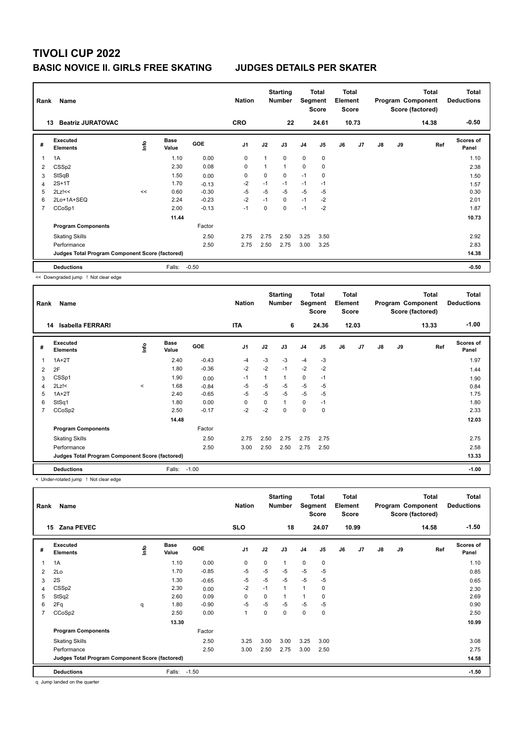## **BASIC NOVICE II. GIRLS FREE SKATING JUDGES DETAILS PER SKATER**

| Rank | Name<br><b>Beatriz JURATOVAC</b><br>13          |            |                      |         |                |      | <b>Starting</b><br><b>Number</b> |                | Total<br>Segment<br><b>Score</b> | <b>Total</b><br>Element<br><b>Score</b> |                |               |    | <b>Total</b><br>Program Component<br>Score (factored) | <b>Total</b><br><b>Deductions</b> |
|------|-------------------------------------------------|------------|----------------------|---------|----------------|------|----------------------------------|----------------|----------------------------------|-----------------------------------------|----------------|---------------|----|-------------------------------------------------------|-----------------------------------|
|      |                                                 |            |                      |         | <b>CRO</b>     |      | 22                               |                | 24.61                            |                                         | 10.73          |               |    | 14.38                                                 | $-0.50$                           |
| #    | Executed<br><b>Elements</b>                     | <b>Lin</b> | <b>Base</b><br>Value | GOE     | J <sub>1</sub> | J2   | J3                               | J <sub>4</sub> | J <sub>5</sub>                   | J6                                      | J <sub>7</sub> | $\mathsf{J}8$ | J9 | Ref                                                   | <b>Scores of</b><br>Panel         |
| 1    | 1A                                              |            | 1.10                 | 0.00    | 0              | 1    | $\Omega$                         | $\mathbf 0$    | $\mathbf 0$                      |                                         |                |               |    |                                                       | 1.10                              |
| 2    | CSS <sub>p2</sub>                               |            | 2.30                 | 0.08    | 0              | 1    | $\mathbf{1}$                     | $\mathbf 0$    | 0                                |                                         |                |               |    |                                                       | 2.38                              |
| 3    | StSqB                                           |            | 1.50                 | 0.00    | 0              | 0    | $\mathbf 0$                      | $-1$           | 0                                |                                         |                |               |    |                                                       | 1.50                              |
| 4    | $2S+1T$                                         |            | 1.70                 | $-0.13$ | $-2$           | $-1$ | $-1$                             | $-1$           | $-1$                             |                                         |                |               |    |                                                       | 1.57                              |
| 5    | $2Lz$ !<<                                       | <<         | 0.60                 | $-0.30$ | $-5$           | $-5$ | -5                               | $-5$           | $-5$                             |                                         |                |               |    |                                                       | 0.30                              |
| 6    | 2Lo+1A+SEQ                                      |            | 2.24                 | $-0.23$ | $-2$           | $-1$ | $\mathbf 0$                      | $-1$           | $-2$                             |                                         |                |               |    |                                                       | 2.01                              |
| 7    | CCoSp1                                          |            | 2.00                 | $-0.13$ | $-1$           | 0    | $\mathbf 0$                      | $-1$           | $-2$                             |                                         |                |               |    |                                                       | 1.87                              |
|      |                                                 |            | 11.44                |         |                |      |                                  |                |                                  |                                         |                |               |    |                                                       | 10.73                             |
|      | <b>Program Components</b>                       |            |                      | Factor  |                |      |                                  |                |                                  |                                         |                |               |    |                                                       |                                   |
|      | <b>Skating Skills</b>                           |            |                      | 2.50    | 2.75           | 2.75 | 2.50                             | 3.25           | 3.50                             |                                         |                |               |    |                                                       | 2.92                              |
|      | Performance                                     |            |                      | 2.50    | 2.75           | 2.50 | 2.75                             | 3.00           | 3.25                             |                                         |                |               |    |                                                       | 2.83                              |
|      | Judges Total Program Component Score (factored) |            |                      |         |                |      |                                  |                |                                  |                                         |                |               |    |                                                       | 14.38                             |
|      | <b>Deductions</b>                               |            | Falls:               | $-0.50$ |                |      |                                  |                |                                  |                                         |                |               |    |                                                       | $-0.50$                           |

<< Downgraded jump ! Not clear edge

| Rank           | Name                                            |         |                      |            | <b>Nation</b>  |                | <b>Starting</b><br><b>Number</b> | Segment        | Total<br><b>Score</b> | Total<br>Element<br><b>Score</b> |                |               |    | <b>Total</b><br>Program Component<br>Score (factored) | Total<br><b>Deductions</b> |
|----------------|-------------------------------------------------|---------|----------------------|------------|----------------|----------------|----------------------------------|----------------|-----------------------|----------------------------------|----------------|---------------|----|-------------------------------------------------------|----------------------------|
|                | <b>Isabella FERRARI</b><br>14                   |         |                      |            | <b>ITA</b>     |                | 6                                |                | 24.36                 |                                  | 12.03          |               |    | 13.33                                                 | $-1.00$                    |
| #              | <b>Executed</b><br><b>Elements</b>              | lnfo    | <b>Base</b><br>Value | <b>GOE</b> | J <sub>1</sub> | J2             | J3                               | J <sub>4</sub> | J5                    | J6                               | J <sub>7</sub> | $\mathsf{J}8$ | J9 | Ref                                                   | <b>Scores of</b><br>Panel  |
| 1              | $1A+2T$                                         |         | 2.40                 | $-0.43$    | $-4$           | $-3$           | $-3$                             | $-4$           | $-3$                  |                                  |                |               |    |                                                       | 1.97                       |
| $\overline{2}$ | 2F                                              |         | 1.80                 | $-0.36$    | $-2$           | $-2$           | $-1$                             | $-2$           | $-2$                  |                                  |                |               |    |                                                       | 1.44                       |
| 3              | CSSp1                                           |         | 1.90                 | 0.00       | $-1$           | $\overline{1}$ | 1                                | 0              | $-1$                  |                                  |                |               |    |                                                       | 1.90                       |
| 4              | $2Lz$ !<                                        | $\prec$ | 1.68                 | $-0.84$    | $-5$           | $-5$           | $-5$                             | $-5$           | $-5$                  |                                  |                |               |    |                                                       | 0.84                       |
| 5              | $1A+2T$                                         |         | 2.40                 | $-0.65$    | $-5$           | $-5$           | $-5$                             | $-5$           | $-5$                  |                                  |                |               |    |                                                       | 1.75                       |
| 6              | StSq1                                           |         | 1.80                 | 0.00       | $\Omega$       | 0              | 1                                | 0              | $-1$                  |                                  |                |               |    |                                                       | 1.80                       |
| $\overline{7}$ | CCoSp2                                          |         | 2.50                 | $-0.17$    | $-2$           | $-2$           | 0                                | $\mathbf 0$    | $\mathbf 0$           |                                  |                |               |    |                                                       | 2.33                       |
|                |                                                 |         | 14.48                |            |                |                |                                  |                |                       |                                  |                |               |    |                                                       | 12.03                      |
|                | <b>Program Components</b>                       |         |                      | Factor     |                |                |                                  |                |                       |                                  |                |               |    |                                                       |                            |
|                | <b>Skating Skills</b>                           |         |                      | 2.50       | 2.75           | 2.50           | 2.75                             | 2.75           | 2.75                  |                                  |                |               |    |                                                       | 2.75                       |
|                | Performance                                     |         |                      | 2.50       | 3.00           | 2.50           | 2.50                             | 2.75           | 2.50                  |                                  |                |               |    |                                                       | 2.58                       |
|                | Judges Total Program Component Score (factored) |         |                      |            |                |                |                                  |                |                       |                                  |                |               |    |                                                       | 13.33                      |
|                | <b>Deductions</b>                               |         | Falls:               | $-1.00$    |                |                |                                  |                |                       |                                  |                |               |    |                                                       | $-1.00$                    |

< Under-rotated jump ! Not clear edge

| Name<br>Rank   |                                                 |   |                      | <b>Nation</b> |                | <b>Starting</b><br><b>Number</b> | Segment      | <b>Total</b><br><b>Score</b> | <b>Total</b><br>Element<br><b>Score</b> |    | Program Component |               | <b>Total</b><br>Score (factored) | <b>Total</b><br><b>Deductions</b> |                           |
|----------------|-------------------------------------------------|---|----------------------|---------------|----------------|----------------------------------|--------------|------------------------------|-----------------------------------------|----|-------------------|---------------|----------------------------------|-----------------------------------|---------------------------|
| 15             | <b>Zana PEVEC</b>                               |   |                      |               | <b>SLO</b>     |                                  | 18           |                              | 24.07                                   |    | 10.99             |               |                                  | 14.58                             | $-1.50$                   |
| #              | Executed<br><b>Elements</b>                     | ۴ | <b>Base</b><br>Value | <b>GOE</b>    | J <sub>1</sub> | J2                               | J3           | J4                           | J5                                      | J6 | J7                | $\mathsf{J}8$ | J9                               | Ref                               | <b>Scores of</b><br>Panel |
| 1              | 1A                                              |   | 1.10                 | 0.00          | $\mathbf 0$    | $\Omega$                         | 1            | 0                            | 0                                       |    |                   |               |                                  |                                   | 1.10                      |
| 2              | 2Lo                                             |   | 1.70                 | $-0.85$       | $-5$           | $-5$                             | $-5$         | $-5$                         | $-5$                                    |    |                   |               |                                  |                                   | 0.85                      |
| 3              | 2S                                              |   | 1.30                 | $-0.65$       | $-5$           | $-5$                             | $-5$         | $-5$                         | -5                                      |    |                   |               |                                  |                                   | 0.65                      |
| $\overline{4}$ | CSS <sub>p2</sub>                               |   | 2.30                 | 0.00          | $-2$           | $-1$                             | $\mathbf{1}$ | $\overline{1}$               | $\mathbf 0$                             |    |                   |               |                                  |                                   | 2.30                      |
| 5              | StSq2                                           |   | 2.60                 | 0.09          | $\mathbf 0$    | 0                                | 1            | 1                            | 0                                       |    |                   |               |                                  |                                   | 2.69                      |
| 6              | 2Fq                                             | q | 1.80                 | $-0.90$       | $-5$           | $-5$                             | $-5$         | $-5$                         | $-5$                                    |    |                   |               |                                  |                                   | 0.90                      |
| $\overline{7}$ | CCoSp2                                          |   | 2.50                 | 0.00          | $\mathbf{1}$   | $\Omega$                         | 0            | 0                            | 0                                       |    |                   |               |                                  |                                   | 2.50                      |
|                |                                                 |   | 13.30                |               |                |                                  |              |                              |                                         |    |                   |               |                                  |                                   | 10.99                     |
|                | <b>Program Components</b>                       |   |                      | Factor        |                |                                  |              |                              |                                         |    |                   |               |                                  |                                   |                           |
|                | <b>Skating Skills</b>                           |   |                      | 2.50          | 3.25           | 3.00                             | 3.00         | 3.25                         | 3.00                                    |    |                   |               |                                  |                                   | 3.08                      |
|                | Performance                                     |   |                      | 2.50          | 3.00           | 2.50                             | 2.75         | 3.00                         | 2.50                                    |    |                   |               |                                  |                                   | 2.75                      |
|                | Judges Total Program Component Score (factored) |   |                      |               |                |                                  |              |                              |                                         |    |                   |               |                                  |                                   | 14.58                     |
|                | <b>Deductions</b>                               |   | Falls:               | $-1.50$       |                |                                  |              |                              |                                         |    |                   |               |                                  |                                   | $-1.50$                   |

q Jump landed on the quarter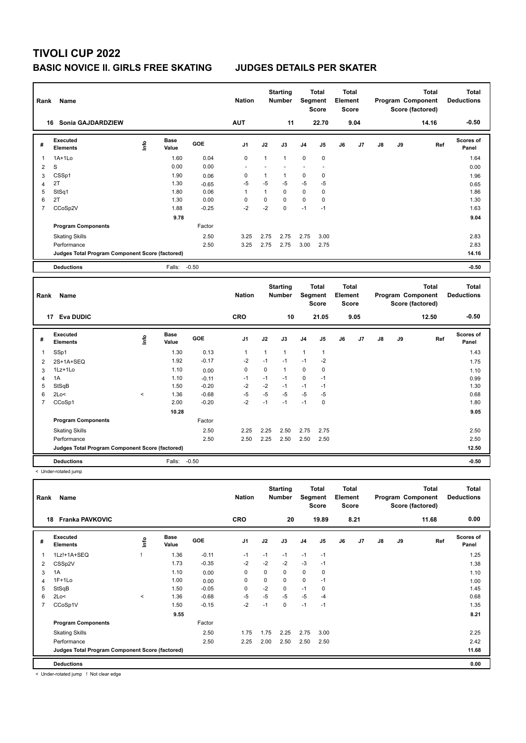## **BASIC NOVICE II. GIRLS FREE SKATING JUDGES DETAILS PER SKATER**

| Rank           | Name                                            |      |                      |            | <b>Nation</b> |              | <b>Starting</b><br>Number | Segment        | <b>Total</b><br><b>Score</b> | <b>Total</b><br>Element<br><b>Score</b> |      |    |    | <b>Total</b><br>Program Component<br>Score (factored) | <b>Total</b><br><b>Deductions</b> |
|----------------|-------------------------------------------------|------|----------------------|------------|---------------|--------------|---------------------------|----------------|------------------------------|-----------------------------------------|------|----|----|-------------------------------------------------------|-----------------------------------|
|                | 16 Sonia GAJDARDZIEW                            |      |                      |            | <b>AUT</b>    |              | 11                        |                | 22.70                        |                                         | 9.04 |    |    | 14.16                                                 | $-0.50$                           |
| #              | Executed<br><b>Elements</b>                     | lnfo | <b>Base</b><br>Value | GOE        | J1            | J2           | J3                        | J <sub>4</sub> | J5                           | J6                                      | J7   | J8 | J9 | Ref                                                   | <b>Scores of</b><br>Panel         |
| 1              | $1A+1Lo$                                        |      | 1.60                 | 0.04       | $\pmb{0}$     | $\mathbf{1}$ | $\mathbf{1}$              | $\mathbf 0$    | $\mathbf 0$                  |                                         |      |    |    |                                                       | 1.64                              |
| 2              | $\mathbf S$                                     |      | 0.00                 | 0.00       |               |              |                           |                | $\overline{\phantom{a}}$     |                                         |      |    |    |                                                       | 0.00                              |
| 3              | CSSp1                                           |      | 1.90                 | 0.06       | 0             | $\mathbf{1}$ | $\mathbf{1}$              | $\mathbf 0$    | 0                            |                                         |      |    |    |                                                       | 1.96                              |
| 4              | 2T                                              |      | 1.30                 | $-0.65$    | $-5$          | $-5$         | $-5$                      | $-5$           | $-5$                         |                                         |      |    |    |                                                       | 0.65                              |
| 5              | StSq1                                           |      | 1.80                 | 0.06       | $\mathbf{1}$  | $\mathbf{1}$ | $\mathbf 0$               | $\mathbf 0$    | $\mathbf 0$                  |                                         |      |    |    |                                                       | 1.86                              |
| 6              | 2T                                              |      | 1.30                 | 0.00       | 0             | $\mathbf 0$  | $\mathbf 0$               | $\mathbf 0$    | 0                            |                                         |      |    |    |                                                       | 1.30                              |
| $\overline{7}$ | CCoSp2V                                         |      | 1.88                 | $-0.25$    | $-2$          | $-2$         | $\Omega$                  | $-1$           | $-1$                         |                                         |      |    |    |                                                       | 1.63                              |
|                |                                                 |      | 9.78                 |            |               |              |                           |                |                              |                                         |      |    |    |                                                       | 9.04                              |
|                | <b>Program Components</b>                       |      |                      | Factor     |               |              |                           |                |                              |                                         |      |    |    |                                                       |                                   |
|                | <b>Skating Skills</b>                           |      |                      | 2.50       | 3.25          | 2.75         | 2.75                      | 2.75           | 3.00                         |                                         |      |    |    |                                                       | 2.83                              |
|                | Performance                                     |      |                      | 2.50       | 3.25          | 2.75         | 2.75                      | 3.00           | 2.75                         |                                         |      |    |    |                                                       | 2.83                              |
|                | Judges Total Program Component Score (factored) |      |                      |            |               |              |                           |                |                              |                                         |      |    |    |                                                       | 14.16                             |
|                | <b>Deductions</b>                               |      | Falls: -0.50         |            |               |              |                           |                |                              |                                         |      |    |    |                                                       | $-0.50$                           |
|                |                                                 |      |                      |            |               |              |                           |                |                              |                                         |      |    |    |                                                       |                                   |
| Rank           | Name                                            |      |                      |            | <b>Nation</b> |              | <b>Starting</b><br>Number | Segment        | <b>Total</b><br><b>Score</b> | <b>Total</b><br>Element<br><b>Score</b> |      |    |    | <b>Total</b><br>Program Component<br>Score (factored) | <b>Total</b><br><b>Deductions</b> |
|                | 17 Eva DUDIC                                    |      |                      |            | <b>CRO</b>    |              | 10                        |                | 21.05                        |                                         | 9.05 |    |    | 12.50                                                 | $-0.50$                           |
| #              | Executed<br><b>Elements</b>                     | Info | <b>Base</b><br>Value | <b>GOE</b> | J1            | J2           | J3                        | J <sub>4</sub> | J5                           | J6                                      | J7   | J8 | J9 | Ref                                                   | Scores of<br>Panel                |
| 1              | SSp1                                            |      | 1.30                 | 0.13       | $\mathbf{1}$  | 1            | $\mathbf{1}$              | $\mathbf{1}$   | $\mathbf{1}$                 |                                         |      |    |    |                                                       | 1.43                              |
| 2              | 2S+1A+SEQ                                       |      | 1.92                 | $-0.17$    | $-2$          | $-1$         | $-1$                      | $-1$           | $-2$                         |                                         |      |    |    |                                                       | 1.75                              |

|   | <b>Deductions</b>                               |         | Falls: -0.50 |         |      |      |      |      |             | $-0.50$ |
|---|-------------------------------------------------|---------|--------------|---------|------|------|------|------|-------------|---------|
|   | Judges Total Program Component Score (factored) |         |              |         |      |      |      |      |             | 12.50   |
|   | Performance                                     |         |              | 2.50    | 2.50 | 2.25 | 2.50 | 2.50 | 2.50        | 2.50    |
|   | <b>Skating Skills</b>                           |         |              | 2.50    | 2.25 | 2.25 | 2.50 | 2.75 | 2.75        | 2.50    |
|   | <b>Program Components</b>                       |         |              | Factor  |      |      |      |      |             |         |
|   |                                                 |         | 10.28        |         |      |      |      |      |             | 9.05    |
|   | CCoSp1                                          |         | 2.00         | $-0.20$ | $-2$ | $-1$ | $-1$ | $-1$ | 0           | 1.80    |
| 6 | 2Lo<                                            | $\prec$ | 1.36         | $-0.68$ | $-5$ | $-5$ | $-5$ | $-5$ | $-5$        | 0.68    |
| 5 | StSqB                                           |         | 1.50         | $-0.20$ | $-2$ | $-2$ | $-1$ | -1   | $-1$        | 1.30    |
| 4 | 1A                                              |         | 1.10         | $-0.11$ | -1   | $-1$ | $-1$ | 0    | -1          | 0.99    |
| 3 | $1Lz+1Lo$                                       |         | 1.10         | 0.00    | 0    | 0    |      | 0    | $\mathbf 0$ | 1.10    |
| - | --------                                        |         |              |         |      |      |      |      |             | .       |

< Under-rotated jump

| Rank           | Name                                            |         |                      |            | <b>Nation</b>  |      | <b>Starting</b><br><b>Number</b> | Segment        | Total<br><b>Score</b> | Total<br>Element<br><b>Score</b> |                |               |    | <b>Total</b><br>Program Component<br>Score (factored) | <b>Total</b><br><b>Deductions</b> |
|----------------|-------------------------------------------------|---------|----------------------|------------|----------------|------|----------------------------------|----------------|-----------------------|----------------------------------|----------------|---------------|----|-------------------------------------------------------|-----------------------------------|
| 18             | <b>Franka PAVKOVIC</b>                          |         |                      |            | <b>CRO</b>     |      | 20                               |                | 19.89                 |                                  | 8.21           |               |    | 11.68                                                 | 0.00                              |
| #              | Executed<br><b>Elements</b>                     | ۴       | <b>Base</b><br>Value | <b>GOE</b> | J <sub>1</sub> | J2   | J3                               | J <sub>4</sub> | J5                    | J6                               | J <sub>7</sub> | $\mathsf{J}8$ | J9 | Ref                                                   | Scores of<br>Panel                |
| -1             | 1Lz!+1A+SEQ                                     |         | 1.36                 | $-0.11$    | $-1$           | $-1$ | $-1$                             | $-1$           | $-1$                  |                                  |                |               |    |                                                       | 1.25                              |
| 2              | CSSp2V                                          |         | 1.73                 | $-0.35$    | $-2$           | $-2$ | $-2$                             | $-3$           | $-1$                  |                                  |                |               |    |                                                       | 1.38                              |
| 3              | 1A                                              |         | 1.10                 | 0.00       | 0              | 0    | 0                                | $\mathbf 0$    | 0                     |                                  |                |               |    |                                                       | 1.10                              |
| 4              | $1F+1Lo$                                        |         | 1.00                 | 0.00       | 0              | 0    | $\Omega$                         | $\mathbf 0$    | $-1$                  |                                  |                |               |    |                                                       | 1.00                              |
| 5              | StSqB                                           |         | 1.50                 | $-0.05$    | 0              | -2   | 0                                | $-1$           | 0                     |                                  |                |               |    |                                                       | 1.45                              |
| 6              | 2Lo<                                            | $\prec$ | 1.36                 | $-0.68$    | $-5$           | -5   | $-5$                             | $-5$           | -4                    |                                  |                |               |    |                                                       | 0.68                              |
| $\overline{7}$ | CCoSp1V                                         |         | 1.50                 | $-0.15$    | $-2$           | $-1$ | 0                                | $-1$           | $-1$                  |                                  |                |               |    |                                                       | 1.35                              |
|                |                                                 |         | 9.55                 |            |                |      |                                  |                |                       |                                  |                |               |    |                                                       | 8.21                              |
|                | <b>Program Components</b>                       |         |                      | Factor     |                |      |                                  |                |                       |                                  |                |               |    |                                                       |                                   |
|                | <b>Skating Skills</b>                           |         |                      | 2.50       | 1.75           | 1.75 | 2.25                             | 2.75           | 3.00                  |                                  |                |               |    |                                                       | 2.25                              |
|                | Performance                                     |         |                      | 2.50       | 2.25           | 2.00 | 2.50                             | 2.50           | 2.50                  |                                  |                |               |    |                                                       | 2.42                              |
|                | Judges Total Program Component Score (factored) |         |                      |            |                |      |                                  |                |                       |                                  |                |               |    |                                                       | 11.68                             |
|                | <b>Deductions</b>                               |         |                      |            |                |      |                                  |                |                       |                                  |                |               |    |                                                       | 0.00                              |

< Under-rotated jump ! Not clear edge